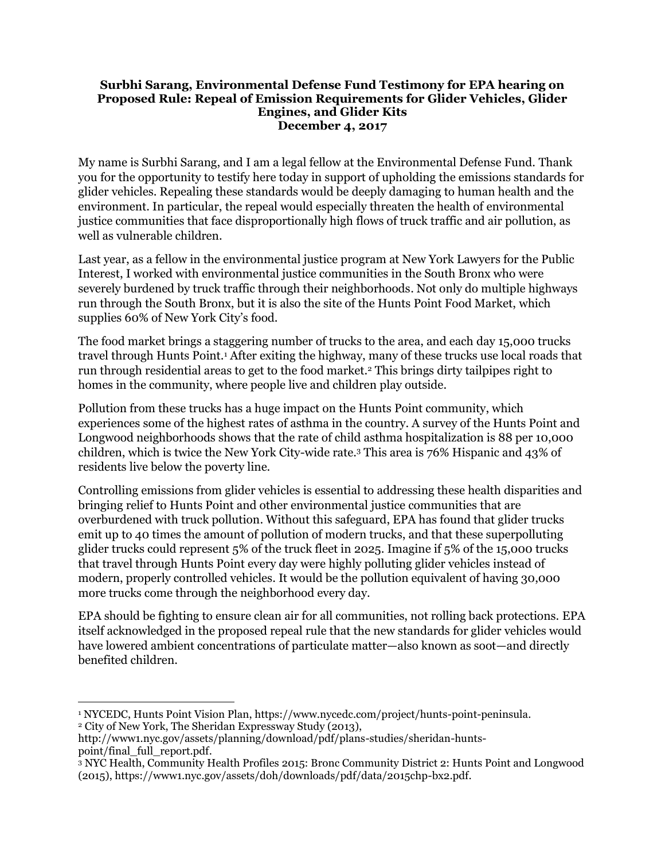## **Surbhi Sarang, Environmental Defense Fund Testimony for EPA hearing on Proposed Rule: Repeal of Emission Requirements for Glider Vehicles, Glider Engines, and Glider Kits December 4, 2017**

My name is Surbhi Sarang, and I am a legal fellow at the Environmental Defense Fund. Thank you for the opportunity to testify here today in support of upholding the emissions standards for glider vehicles. Repealing these standards would be deeply damaging to human health and the environment. In particular, the repeal would especially threaten the health of environmental justice communities that face disproportionally high flows of truck traffic and air pollution, as well as vulnerable children.

Last year, as a fellow in the environmental justice program at New York Lawyers for the Public Interest, I worked with environmental justice communities in the South Bronx who were severely burdened by truck traffic through their neighborhoods. Not only do multiple highways run through the South Bronx, but it is also the site of the Hunts Point Food Market, which supplies 60% of New York City's food.

The food market brings a staggering number of trucks to the area, and each day 15,000 trucks travel through Hunts Point.<sup>1</sup> After exiting the highway, many of these trucks use local roads that run through residential areas to get to the food market.<sup>2</sup> This brings dirty tailpipes right to homes in the community, where people live and children play outside.

Pollution from these trucks has a huge impact on the Hunts Point community, which experiences some of the highest rates of asthma in the country. A survey of the Hunts Point and Longwood neighborhoods shows that the rate of child asthma hospitalization is 88 per 10,000 children, which is twice the New York City-wide rate.<sup>3</sup> This area is 76% Hispanic and 43% of residents live below the poverty line.

Controlling emissions from glider vehicles is essential to addressing these health disparities and bringing relief to Hunts Point and other environmental justice communities that are overburdened with truck pollution. Without this safeguard, EPA has found that glider trucks emit up to 40 times the amount of pollution of modern trucks, and that these superpolluting glider trucks could represent 5% of the truck fleet in 2025. Imagine if 5% of the 15,000 trucks that travel through Hunts Point every day were highly polluting glider vehicles instead of modern, properly controlled vehicles. It would be the pollution equivalent of having 30,000 more trucks come through the neighborhood every day.

EPA should be fighting to ensure clean air for all communities, not rolling back protections. EPA itself acknowledged in the proposed repeal rule that the new standards for glider vehicles would have lowered ambient concentrations of particulate matter—also known as soot—and directly benefited children.

 $\overline{\phantom{a}}$ <sup>1</sup> NYCEDC, Hunts Point Vision Plan, [https://www.nycedc.com/project/hunts-point-peninsula.](https://www.nycedc.com/project/hunts-point-peninsula) <sup>2</sup> City of New York, The Sheridan Expressway Study (2013),

[http://www1.nyc.gov/assets/planning/download/pdf/plans-studies/sheridan-hunts](http://www1.nyc.gov/assets/planning/download/pdf/plans-studies/sheridan-hunts-point/final_full_report.pdf)[point/final\\_full\\_report.pdf.](http://www1.nyc.gov/assets/planning/download/pdf/plans-studies/sheridan-hunts-point/final_full_report.pdf)

<sup>3</sup> NYC Health, Community Health Profiles 2015: Bronc Community District 2: Hunts Point and Longwood (2015), [https://www1.nyc.gov/assets/doh/downloads/pdf/data/2015chp-bx2.pdf.](https://www1.nyc.gov/assets/doh/downloads/pdf/data/2015chp-bx2.pdf)